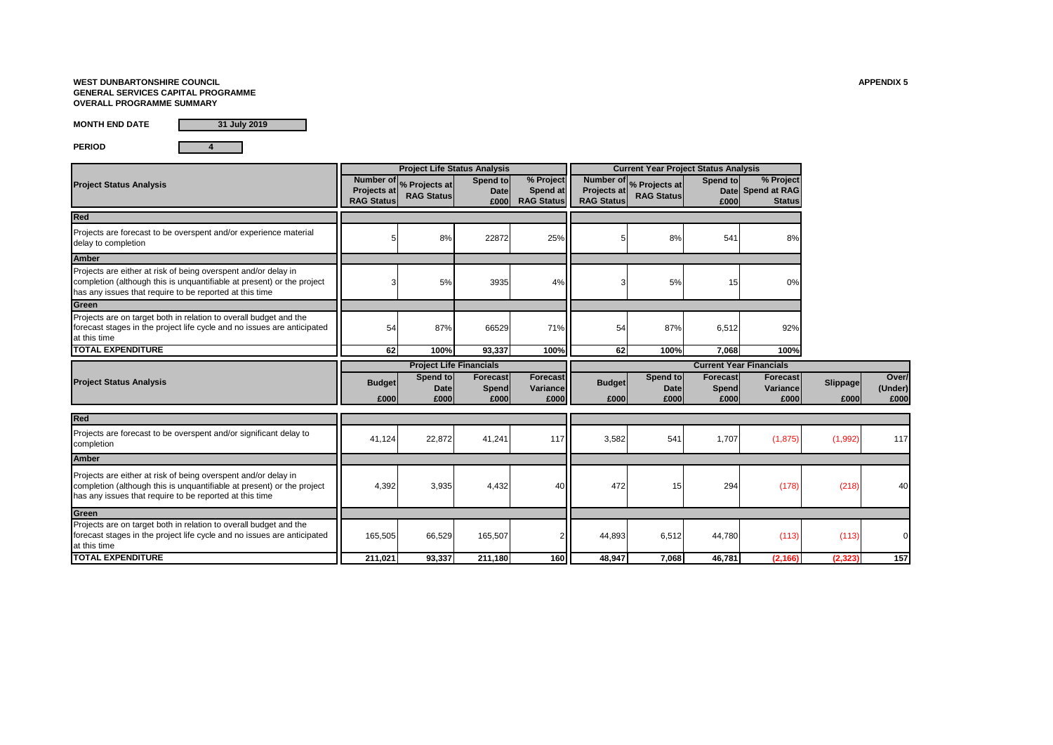### **WEST DUNBARTONSHIRE COUNCIL APPENDIX 5 GENERAL SERVICES CAPITAL PROGRAMME OVERALL PROGRAMME SUMMARY**

**MONTH END DATE**

**31 July 2019**

**PERIOD 4**

| <b>Project Status Analysis</b>                                                                                                                                                                      | Projects at<br><b>RAG Status</b> | Number or <sub>%</sub> Projects at<br><b>RAG Status</b> | Spend to<br><b>Date</b><br>£000  | % Project<br>Spend at<br><b>RAG Status</b> | <b>Projects at</b><br><b>RAG Status</b> | Number or % Projects at<br><b>RAG Status</b> | Spend to<br>£000                 | % Project<br>Date Spend at RAG<br><b>Status</b> |                  |                          |
|-----------------------------------------------------------------------------------------------------------------------------------------------------------------------------------------------------|----------------------------------|---------------------------------------------------------|----------------------------------|--------------------------------------------|-----------------------------------------|----------------------------------------------|----------------------------------|-------------------------------------------------|------------------|--------------------------|
| Red                                                                                                                                                                                                 |                                  |                                                         |                                  |                                            |                                         |                                              |                                  |                                                 |                  |                          |
| Projects are forecast to be overspent and/or experience material<br>delay to completion                                                                                                             |                                  | 8%                                                      | 22872                            | 25%                                        |                                         | 8%                                           | 541                              | 8%                                              |                  |                          |
| <b>Amber</b>                                                                                                                                                                                        |                                  |                                                         |                                  |                                            |                                         |                                              |                                  |                                                 |                  |                          |
| Projects are either at risk of being overspent and/or delay in<br>completion (although this is unquantifiable at present) or the project<br>has any issues that require to be reported at this time |                                  | 5%                                                      | 3935                             | 4%                                         | 3                                       | 5%                                           | 15                               | 0%                                              |                  |                          |
| Green                                                                                                                                                                                               |                                  |                                                         |                                  |                                            |                                         |                                              |                                  |                                                 |                  |                          |
| Projects are on target both in relation to overall budget and the<br>forecast stages in the project life cycle and no issues are anticipated<br>at this time                                        | 54                               | 87%                                                     | 66529                            | 71%                                        | 54                                      | 87%                                          | 6,512                            | 92%                                             |                  |                          |
| <b>TOTAL EXPENDITURE</b>                                                                                                                                                                            | 62                               | 100%                                                    | 93.337                           | 100%                                       | 62                                      | 100%                                         | 7.068                            | 100%                                            |                  |                          |
|                                                                                                                                                                                                     |                                  | <b>Project Life Financials</b>                          |                                  |                                            | <b>Current Year Financials</b>          |                                              |                                  |                                                 |                  |                          |
| <b>Project Status Analysis</b>                                                                                                                                                                      | <b>Budget</b><br>£000            | Spend to<br><b>Date</b><br>£000                         | <b>Forecast</b><br>Spend<br>£000 | <b>Forecast</b><br>Variance<br>£000        | <b>Budget</b><br>£000                   | Spend to<br><b>Date</b><br>£000              | <b>Forecast</b><br>Spend<br>£000 | <b>Forecast</b><br>Variance<br>£000             | Slippage<br>£000 | Over/<br>(Under)<br>£000 |
| <b>Red</b>                                                                                                                                                                                          |                                  |                                                         |                                  |                                            |                                         |                                              |                                  |                                                 |                  |                          |
| Projects are forecast to be overspent and/or significant delay to<br>completion                                                                                                                     | 41,124                           | 22,872                                                  | 41,241                           | 117                                        | 3,582                                   | 541                                          | 1,707                            | (1, 875)                                        | (1,992)          | 117                      |
| <b>Amber</b>                                                                                                                                                                                        |                                  |                                                         |                                  |                                            |                                         |                                              |                                  |                                                 |                  |                          |
| Projects are either at risk of being overspent and/or delay in<br>completion (although this is unquantifiable at present) or the project<br>has any issues that require to be reported at this time | 4,392                            | 3,935                                                   | 4,432                            | 40                                         | 472                                     | 15                                           | 294                              | (178)                                           | (218)            | 40                       |
| Green                                                                                                                                                                                               |                                  |                                                         |                                  |                                            |                                         |                                              |                                  |                                                 |                  |                          |
| Projects are on target both in relation to overall budget and the<br>forecast stages in the project life cycle and no issues are anticipated<br>at this time                                        | 165,505                          | 66,529                                                  | 165,507                          |                                            | 44,893                                  | 6,512                                        | 44,780                           | (113)                                           | (113)            |                          |
| <b>TOTAL EXPENDITURE</b>                                                                                                                                                                            |                                  |                                                         |                                  |                                            |                                         |                                              |                                  |                                                 |                  |                          |

**Project Life Status Analysis Current Year Project Status Analysis**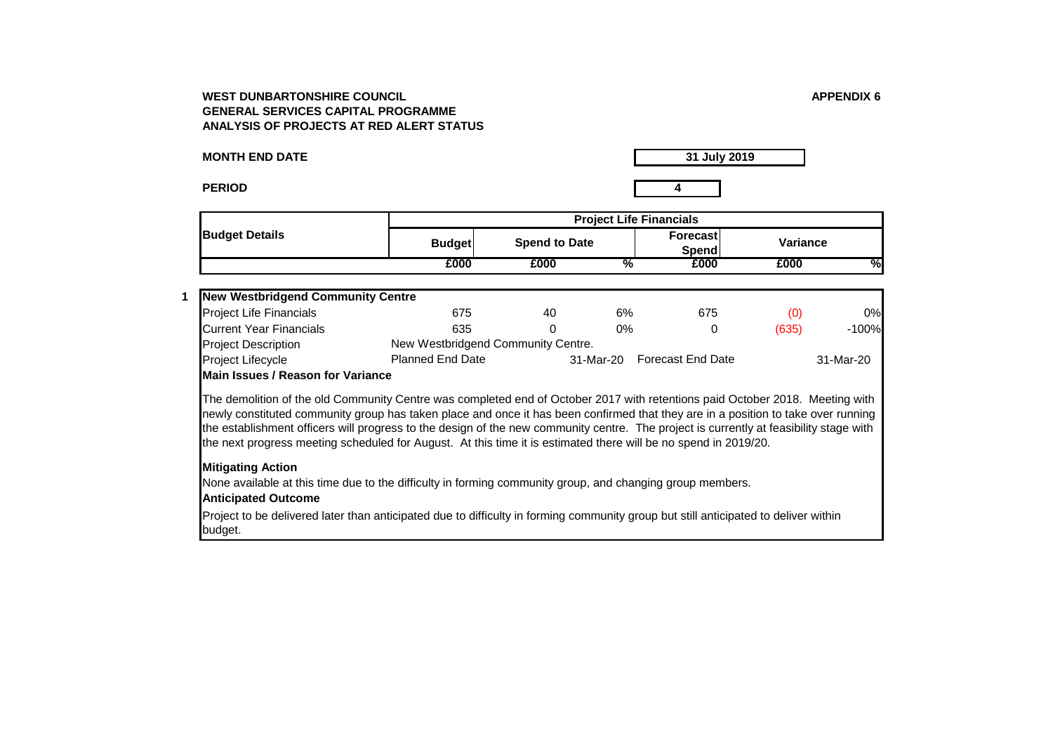**MONTH END DATE**

**31 July 2019**

**PERIOD 4**

**1**

|                                          |                                    | <b>Project Life Financials</b> |           |                          |          |           |  |  |  |
|------------------------------------------|------------------------------------|--------------------------------|-----------|--------------------------|----------|-----------|--|--|--|
| <b>Budget Details</b>                    | <b>Budget</b>                      | <b>Spend to Date</b>           |           | <b>Forecast</b><br>Spend | Variance |           |  |  |  |
|                                          | £000                               | £000                           | %         | £000                     | £000     | %         |  |  |  |
| <b>New Westbridgend Community Centre</b> |                                    |                                |           |                          |          |           |  |  |  |
| <b>Project Life Financials</b>           | 675                                | 40                             | 6%        | 675                      | (0)      | 0%        |  |  |  |
| Current Year Financials                  | 635                                | 0                              | 0%        | 0                        | (635)    | $-100%$   |  |  |  |
| <b>Project Description</b>               | New Westbridgend Community Centre. |                                |           |                          |          |           |  |  |  |
| <b>Project Lifecycle</b>                 | <b>Planned End Date</b>            |                                | 31-Mar-20 | <b>Forecast End Date</b> |          | 31-Mar-20 |  |  |  |

### **Main Issues / Reason for Variance**

The demolition of the old Community Centre was completed end of October 2017 with retentions paid October 2018. Meeting with newly constituted community group has taken place and once it has been confirmed that they are in a position to take over running the establishment officers will progress to the design of the new community centre. The project is currently at feasibility stage with the next progress meeting scheduled for August. At this time it is estimated there will be no spend in 2019/20.

## **Mitigating Action**

None available at this time due to the difficulty in forming community group, and changing group members.

## **Anticipated Outcome**

Project to be delivered later than anticipated due to difficulty in forming community group but still anticipated to deliver within budget.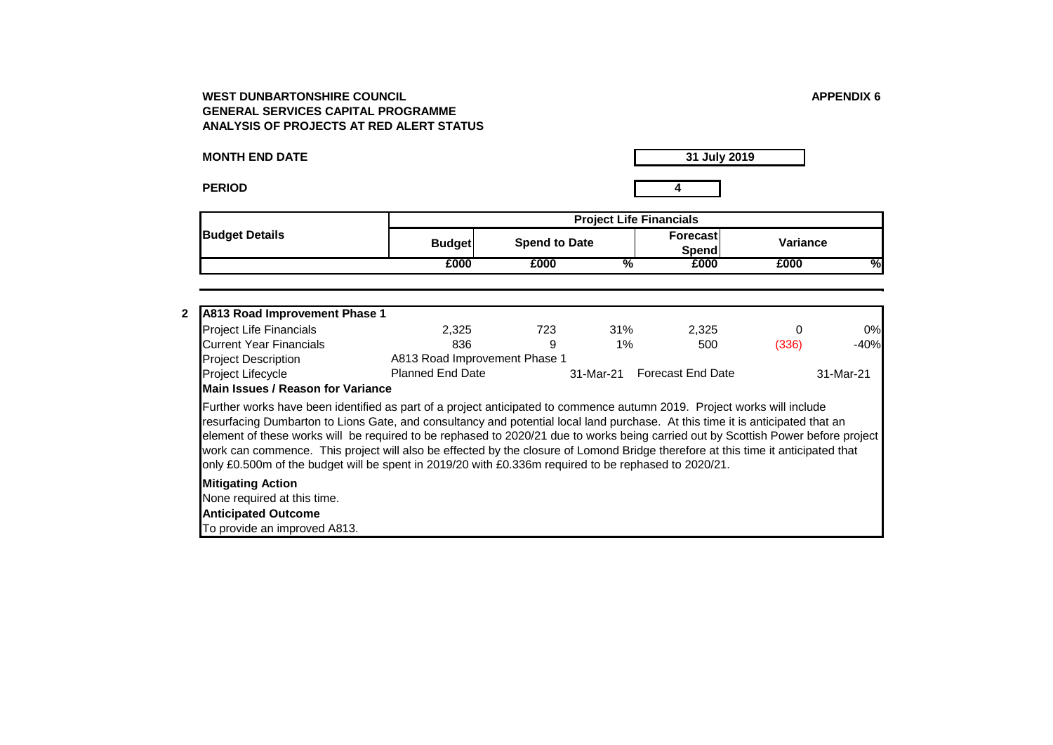**31 July 2019**

**PERIOD 4**

**2**

**MONTH END DATE**

**Budget Forecast Spend to Date Variance Spend**<br>**£000 £000 £000 % £000 £000 % Budget Details Project Life Financials** Project Life Financials 2,325 723 31% 2,325 0 0% Current Year Financials 836 9 1% 500 (336) -40% Project Description Project Lifecycle Planned End Date 31-Mar-21 Forecast End Date 31-Mar-21 **A813 Road Improvement Phase 1** A813 Road Improvement Phase 1 **Main Issues / Reason for Variance** 

Further works have been identified as part of a project anticipated to commence autumn 2019. Project works will include resurfacing Dumbarton to Lions Gate, and consultancy and potential local land purchase. At this time it is anticipated that an element of these works will be required to be rephased to 2020/21 due to works being carried out by Scottish Power before project work can commence. This project will also be effected by the closure of Lomond Bridge therefore at this time it anticipated that only £0.500m of the budget will be spent in 2019/20 with £0.336m required to be rephased to 2020/21.

## **Mitigating Action**

None required at this time.

**Anticipated Outcome**

To provide an improved A813.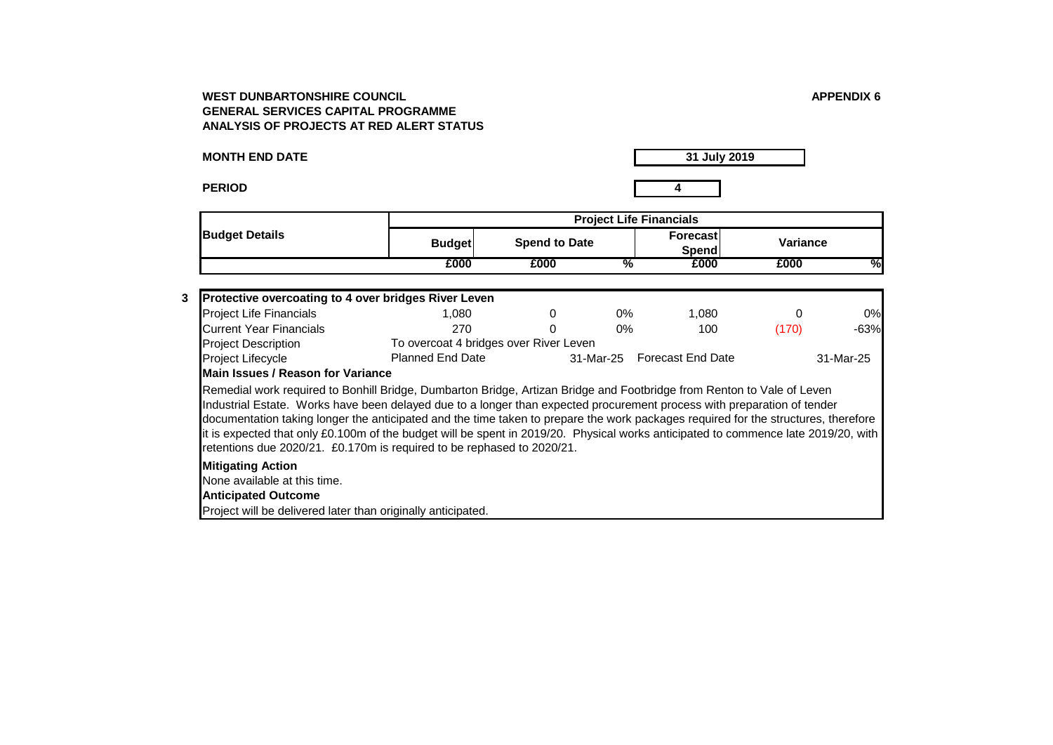**MONTH END DATE**

**31 July 2019**

**PERIOD 4**

| <b>Budget Details</b> |               | <b>Project Life Financials</b> |                   |              |  |  |  |  |
|-----------------------|---------------|--------------------------------|-------------------|--------------|--|--|--|--|
|                       | <b>Budget</b> | <b>Spend to Date</b>           | Forecast<br>Spend | Variance     |  |  |  |  |
|                       | £000          | £000                           | £000<br>%         | £000<br>$\%$ |  |  |  |  |

| 3 | <b>Protective overcoating to 4 over bridges River Leven</b>                                                                                                                                                                                                                                                                                                                                                                                                                                                                                                                                             |                                        |   |       |                             |       |           |  |  |
|---|---------------------------------------------------------------------------------------------------------------------------------------------------------------------------------------------------------------------------------------------------------------------------------------------------------------------------------------------------------------------------------------------------------------------------------------------------------------------------------------------------------------------------------------------------------------------------------------------------------|----------------------------------------|---|-------|-----------------------------|-------|-----------|--|--|
|   | <b>Project Life Financials</b>                                                                                                                                                                                                                                                                                                                                                                                                                                                                                                                                                                          | 1.080                                  | 0 | $0\%$ | 1.080                       | 0     | 0%        |  |  |
|   | Current Year Financials                                                                                                                                                                                                                                                                                                                                                                                                                                                                                                                                                                                 | 270                                    | 0 | $0\%$ | 100                         | (170) | $-63%$    |  |  |
|   | <b>Project Description</b>                                                                                                                                                                                                                                                                                                                                                                                                                                                                                                                                                                              | To overcoat 4 bridges over River Leven |   |       |                             |       |           |  |  |
|   | Project Lifecycle                                                                                                                                                                                                                                                                                                                                                                                                                                                                                                                                                                                       | <b>Planned End Date</b>                |   |       | 31-Mar-25 Forecast End Date |       | 31-Mar-25 |  |  |
|   | <b>IMain Issues / Reason for Variance</b>                                                                                                                                                                                                                                                                                                                                                                                                                                                                                                                                                               |                                        |   |       |                             |       |           |  |  |
|   | Remedial work required to Bonhill Bridge, Dumbarton Bridge, Artizan Bridge and Footbridge from Renton to Vale of Leven<br>Industrial Estate. Works have been delayed due to a longer than expected procurement process with preparation of tender<br>documentation taking longer the anticipated and the time taken to prepare the work packages required for the structures, therefore<br>It is expected that only £0.100m of the budget will be spent in 2019/20. Physical works anticipated to commence late 2019/20, with<br>retentions due 2020/21. £0.170m is required to be rephased to 2020/21. |                                        |   |       |                             |       |           |  |  |
|   | <b>Mitigating Action</b>                                                                                                                                                                                                                                                                                                                                                                                                                                                                                                                                                                                |                                        |   |       |                             |       |           |  |  |
|   | None available at this time.                                                                                                                                                                                                                                                                                                                                                                                                                                                                                                                                                                            |                                        |   |       |                             |       |           |  |  |
|   | <b>Anticipated Outcome</b>                                                                                                                                                                                                                                                                                                                                                                                                                                                                                                                                                                              |                                        |   |       |                             |       |           |  |  |
|   | Project will be delivered later than originally anticipated.                                                                                                                                                                                                                                                                                                                                                                                                                                                                                                                                            |                                        |   |       |                             |       |           |  |  |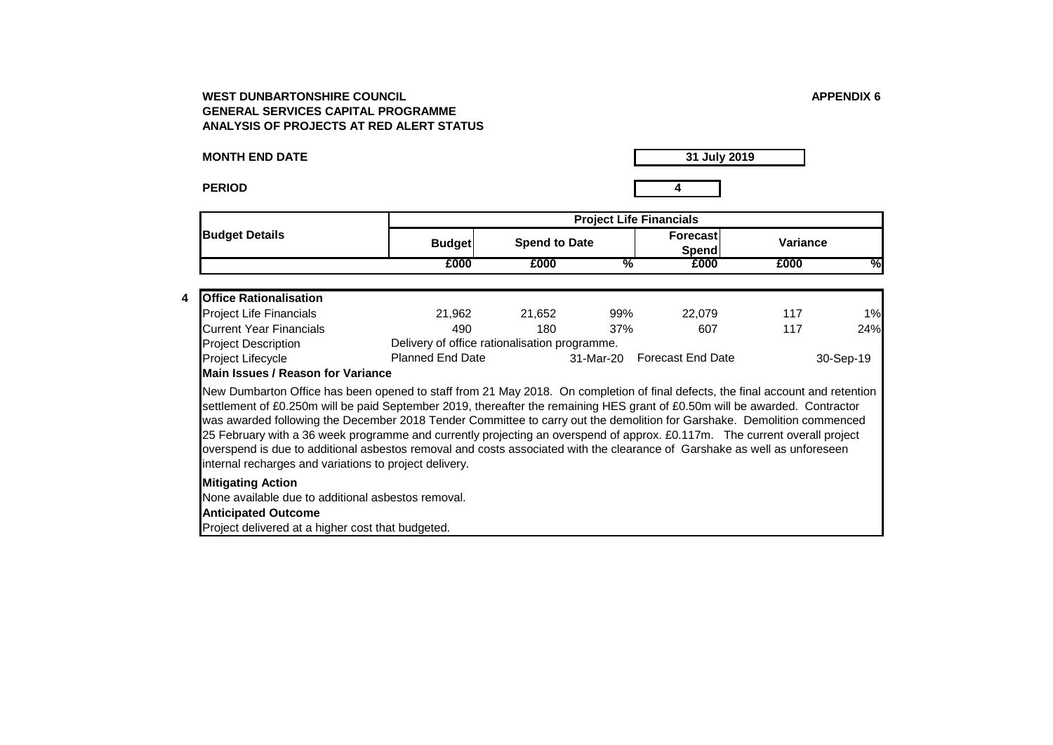**MONTH END DATE**

**Anticipated Outcome**

**Mitigating Action**

Project delivered at a higher cost that budgeted.

internal recharges and variations to project delivery.

None available due to additional asbestos removal.

**PERIOD 4**

**31 July 2019**

**Budget Forecast Spend to Date Variance Spend**<br>**£000 £000 £000 % £000 £000 % Budget Details Project Life Financials 4 Office Rationalisation** Project Life Financials 21,962 21,652 99% 22,079 117 1% Current Year Financials 490 180 37% 607 117 24% Project Description Project Lifecycle Planned End Date 31-Mar-20 Forecast End Date 30-Sep-19 Delivery of office rationalisation programme. **Main Issues / Reason for Variance**  New Dumbarton Office has been opened to staff from 21 May 2018. On completion of final defects, the final account and retention settlement of £0.250m will be paid September 2019, thereafter the remaining HES grant of £0.50m will be awarded. Contractor was awarded following the December 2018 Tender Committee to carry out the demolition for Garshake. Demolition commenced

25 February with a 36 week programme and currently projecting an overspend of approx. £0.117m. The current overall project overspend is due to additional asbestos removal and costs associated with the clearance of Garshake as well as unforeseen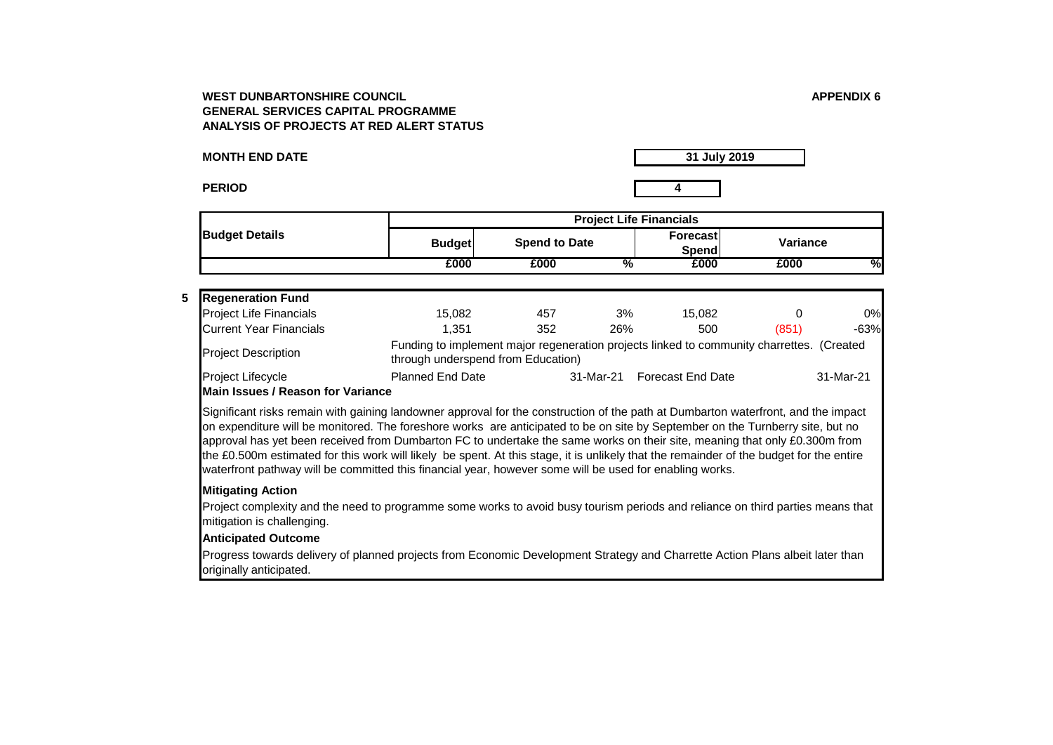**MONTH END DATE**

**PERIOD 4**

**31 July 2019**

|                       | <b>Project Life Financials</b> |                      |                          |          |   |  |  |  |
|-----------------------|--------------------------------|----------------------|--------------------------|----------|---|--|--|--|
| <b>Budget Details</b> | <b>Budget</b>                  | <b>Spend to Date</b> | <b>Forecast</b><br>Spend | Variance |   |  |  |  |
|                       | £000                           | £000                 | £000<br>%                | £000     | % |  |  |  |

# **5 Regeneration Fund**

| INGYGHGI AUVIL FUIIU           |                                                                                                                                 |     |           |                          |       |           |
|--------------------------------|---------------------------------------------------------------------------------------------------------------------------------|-----|-----------|--------------------------|-------|-----------|
| <b>Project Life Financials</b> | 15.082                                                                                                                          | 457 | 3%        | 15.082                   |       | 0%        |
| <b>Current Year Financials</b> | 1.351                                                                                                                           | 352 | 26%       | 500                      | (851) | $-63%$    |
| <b>Project Description</b>     | Funding to implement major regeneration projects linked to community charrettes. (Created<br>through underspend from Education) |     |           |                          |       |           |
| Project Lifecycle              | <b>Planned End Date</b>                                                                                                         |     | 31-Mar-21 | <b>Forecast End Date</b> |       | 31-Mar-21 |

## **Main Issues / Reason for Variance**

Significant risks remain with gaining landowner approval for the construction of the path at Dumbarton waterfront, and the impact on expenditure will be monitored. The foreshore works are anticipated to be on site by September on the Turnberry site, but no approval has yet been received from Dumbarton FC to undertake the same works on their site, meaning that only £0.300m from the £0.500m estimated for this work will likely be spent. At this stage, it is unlikely that the remainder of the budget for the entire waterfront pathway will be committed this financial year, however some will be used for enabling works.

## **Mitigating Action**

Project complexity and the need to programme some works to avoid busy tourism periods and reliance on third parties means that mitigation is challenging.

### **Anticipated Outcome**

Progress towards delivery of planned projects from Economic Development Strategy and Charrette Action Plans albeit later than originally anticipated.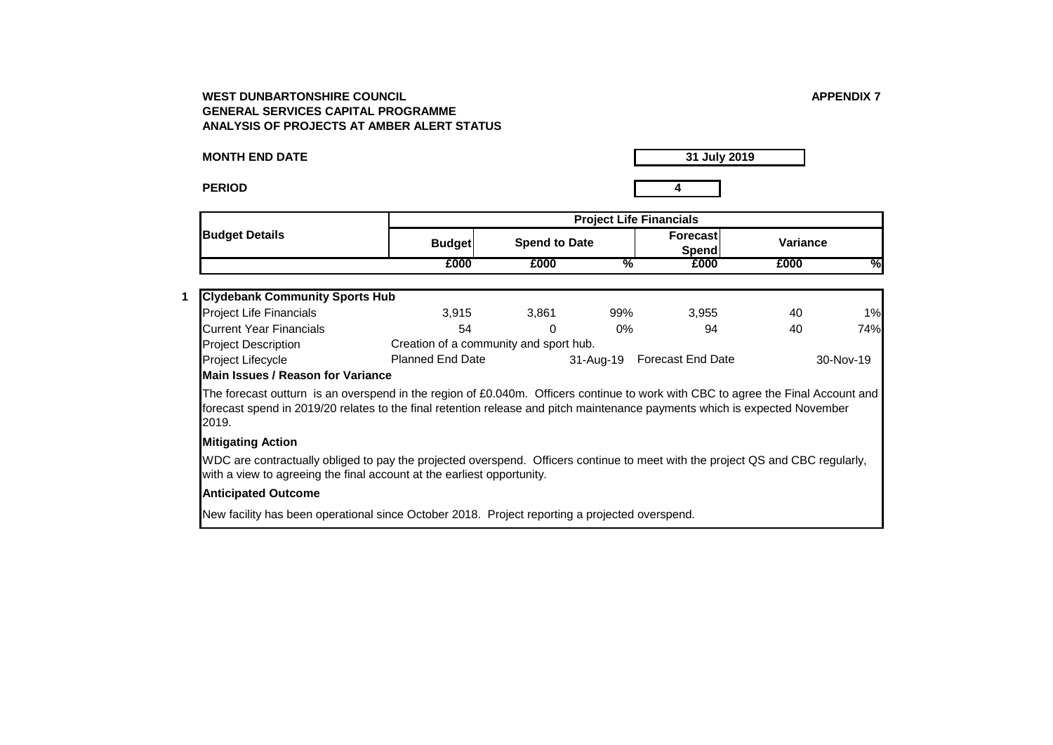**MONTH END DATE**

**31 July 2019**

**PERIOD 4**

**1**

**Budget Forecast Spend to Date Variance Spend**<br>**£000 £000 £000 % £000 £000 %** Project Life Financials 1% 3,915 3,861 99% 3,955 40 1% Current Year Financials 54 0 0% 94 40 74% Project Description **Budget Details Project Life Financials Clydebank Community Sports Hub** Creation of a community and sport hub.

Project Lifecycle Planned End Date 31-Aug-19 Forecast End Date 30-Nov-19 **Main Issues / Reason for Variance** 

The forecast outturn is an overspend in the region of £0.040m. Officers continue to work with CBC to agree the Final Account and forecast spend in 2019/20 relates to the final retention release and pitch maintenance payments which is expected November 2019.

## **Mitigating Action**

WDC are contractually obliged to pay the projected overspend. Officers continue to meet with the project QS and CBC regularly, with a view to agreeing the final account at the earliest opportunity.

## **Anticipated Outcome**

New facility has been operational since October 2018. Project reporting a projected overspend.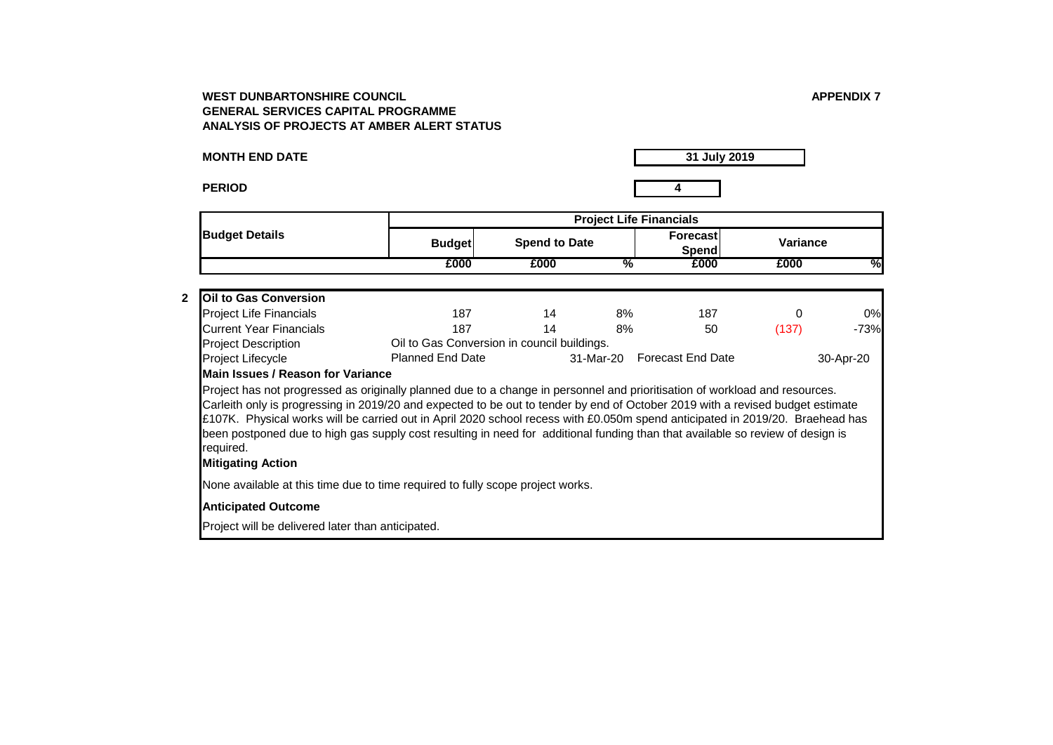**MONTH END DATE**

**PERIOD 4**

**31 July 2019**

|                                                                                                                                                                                                                                                                                                                                                                                                                                                                                                                                                                           |                                                                        |                      | <b>Project Life Financials</b> |                          |                 |           |  |  |  |
|---------------------------------------------------------------------------------------------------------------------------------------------------------------------------------------------------------------------------------------------------------------------------------------------------------------------------------------------------------------------------------------------------------------------------------------------------------------------------------------------------------------------------------------------------------------------------|------------------------------------------------------------------------|----------------------|--------------------------------|--------------------------|-----------------|-----------|--|--|--|
| <b>Budget Details</b>                                                                                                                                                                                                                                                                                                                                                                                                                                                                                                                                                     | <b>Budget</b>                                                          | <b>Spend to Date</b> |                                | Forecast<br>Spend        | <b>Variance</b> |           |  |  |  |
|                                                                                                                                                                                                                                                                                                                                                                                                                                                                                                                                                                           | £000                                                                   | £000                 | %                              | £000                     | £000            | %         |  |  |  |
| <b>Oil to Gas Conversion</b>                                                                                                                                                                                                                                                                                                                                                                                                                                                                                                                                              |                                                                        |                      |                                |                          |                 |           |  |  |  |
|                                                                                                                                                                                                                                                                                                                                                                                                                                                                                                                                                                           |                                                                        |                      |                                |                          |                 | 0%        |  |  |  |
| <b>Project Life Financials</b><br><b>Current Year Financials</b>                                                                                                                                                                                                                                                                                                                                                                                                                                                                                                          | 187<br>187                                                             | 14<br>14             | 8%                             | 187                      | 0               |           |  |  |  |
|                                                                                                                                                                                                                                                                                                                                                                                                                                                                                                                                                                           |                                                                        |                      | 8%                             | 50                       | (137)           | $-73%$    |  |  |  |
| <b>Project Description</b><br>Project Lifecycle                                                                                                                                                                                                                                                                                                                                                                                                                                                                                                                           | Oil to Gas Conversion in council buildings.<br><b>Planned End Date</b> |                      | 31-Mar-20                      | <b>Forecast End Date</b> |                 | 30-Apr-20 |  |  |  |
| Main Issues / Reason for Variance                                                                                                                                                                                                                                                                                                                                                                                                                                                                                                                                         |                                                                        |                      |                                |                          |                 |           |  |  |  |
| Project has not progressed as originally planned due to a change in personnel and prioritisation of workload and resources.<br>Carleith only is progressing in 2019/20 and expected to be out to tender by end of October 2019 with a revised budget estimate<br>£107K. Physical works will be carried out in April 2020 school recess with £0.050m spend anticipated in 2019/20. Braehead has<br>been postponed due to high gas supply cost resulting in need for additional funding than that available so review of design is<br>required.<br><b>Mitigating Action</b> |                                                                        |                      |                                |                          |                 |           |  |  |  |
| None available at this time due to time required to fully scope project works.                                                                                                                                                                                                                                                                                                                                                                                                                                                                                            |                                                                        |                      |                                |                          |                 |           |  |  |  |
| <b>Anticipated Outcome</b>                                                                                                                                                                                                                                                                                                                                                                                                                                                                                                                                                |                                                                        |                      |                                |                          |                 |           |  |  |  |
| Project will be delivered later than anticipated.                                                                                                                                                                                                                                                                                                                                                                                                                                                                                                                         |                                                                        |                      |                                |                          |                 |           |  |  |  |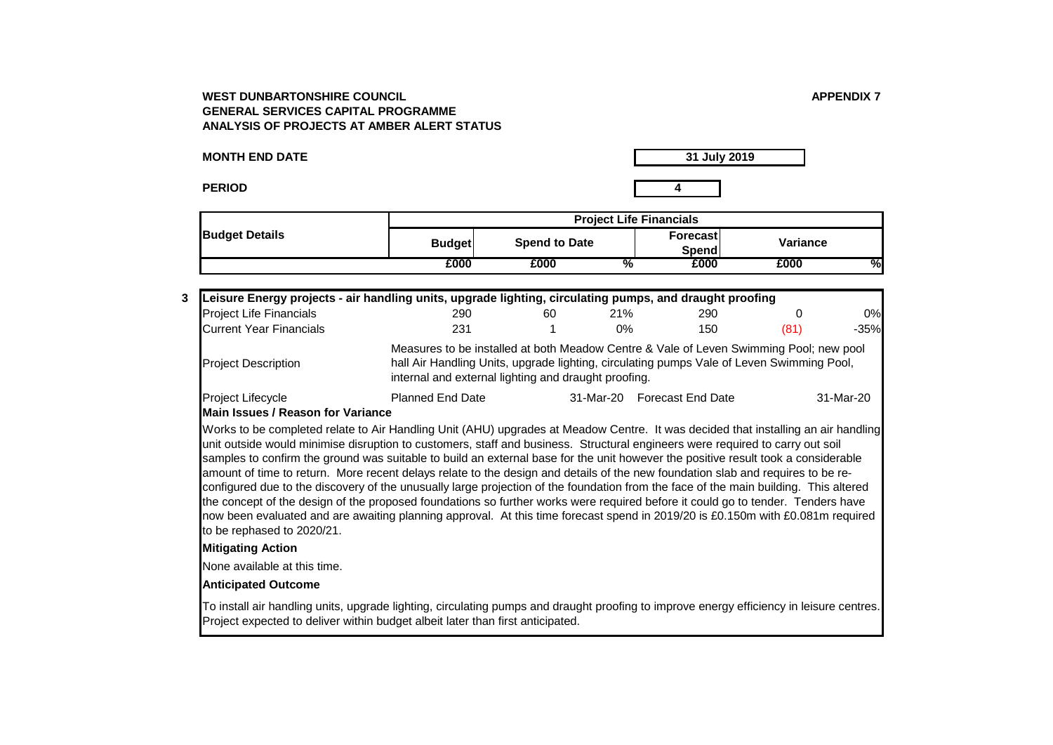**MONTH END DATE**

**31 July 2019**

**PERIOD 4**

|                       | <b>Project Life Financials</b> |                      |                    |          |               |  |  |
|-----------------------|--------------------------------|----------------------|--------------------|----------|---------------|--|--|
| <b>Budget Details</b> | <b>Budget</b>                  | <b>Spend to Date</b> | Forecast<br>Spendi | Variance |               |  |  |
|                       | £000                           | £000                 | £000<br>%          | £000     | $\frac{0}{2}$ |  |  |

| 3 Leisure Energy projects - air handling units, upgrade lighting, circulating pumps, and draught proofing |                                                                                                                                                                                                                                             |    |     |                             |      |           |
|-----------------------------------------------------------------------------------------------------------|---------------------------------------------------------------------------------------------------------------------------------------------------------------------------------------------------------------------------------------------|----|-----|-----------------------------|------|-----------|
| <b>Project Life Financials</b>                                                                            | 290                                                                                                                                                                                                                                         | 60 | 21% | 290                         |      | 0%        |
| Current Year Financials                                                                                   | 231                                                                                                                                                                                                                                         |    | 0%  | 150                         | (81) | $-35%$    |
| <b>Project Description</b>                                                                                | Measures to be installed at both Meadow Centre & Vale of Leven Swimming Pool; new pool<br>hall Air Handling Units, upgrade lighting, circulating pumps Vale of Leven Swimming Pool,<br>internal and external lighting and draught proofing. |    |     |                             |      |           |
| Project Lifecycle                                                                                         | <b>Planned End Date</b>                                                                                                                                                                                                                     |    |     | 31-Mar-20 Forecast End Date |      | 31-Mar-20 |

### **Main Issues / Reason for Variance**

Works to be completed relate to Air Handling Unit (AHU) upgrades at Meadow Centre. It was decided that installing an air handling unit outside would minimise disruption to customers, staff and business. Structural engineers were required to carry out soil samples to confirm the ground was suitable to build an external base for the unit however the positive result took a considerable amount of time to return. More recent delays relate to the design and details of the new foundation slab and requires to be reconfigured due to the discovery of the unusually large projection of the foundation from the face of the main building. This altered the concept of the design of the proposed foundations so further works were required before it could go to tender. Tenders have now been evaluated and are awaiting planning approval. At this time forecast spend in 2019/20 is £0.150m with £0.081m required to be rephased to 2020/21.

## **Mitigating Action**

None available at this time.

## **Anticipated Outcome**

To install air handling units, upgrade lighting, circulating pumps and draught proofing to improve energy efficiency in leisure centres. Project expected to deliver within budget albeit later than first anticipated.